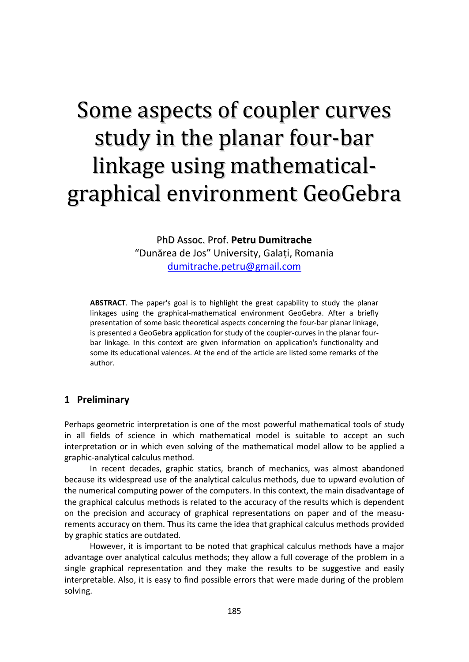# Some aspects of coupler curves study in the planar four-bar linkage using mathematicalgraphical environment GeoGebra

PhD Assoc. Prof. **Petru Dumitrache** "Dunărea de Jos" University, Galaţi, Romania [dumitrache.petru@gmail.com](mailto:dumitrache.petru@gmail.com)

**ABSTRACT**. The paper's goal is to highlight the great capability to study the planar linkages using the graphical-mathematical environment GeoGebra. After a briefly presentation of some basic theoretical aspects concerning the four-bar planar linkage, is presented a GeoGebra application for study of the coupler-curves in the planar fourbar linkage. In this context are given information on application's functionality and some its educational valences. At the end of the article are listed some remarks of the author.

## **1 Preliminary**

Perhaps geometric interpretation is one of the most powerful mathematical tools of study in all fields of science in which mathematical model is suitable to accept an such interpretation or in which even solving of the mathematical model allow to be applied a graphic-analytical calculus method.

In recent decades, graphic statics, branch of mechanics, was almost abandoned because its widespread use of the analytical calculus methods, due to upward evolution of the numerical computing power of the computers. In this context, the main disadvantage of the graphical calculus methods is related to the accuracy of the results which is dependent on the precision and accuracy of graphical representations on paper and of the measurements accuracy on them. Thus its came the idea that graphical calculus methods provided by graphic statics are outdated.

However, it is important to be noted that graphical calculus methods have a major advantage over analytical calculus methods; they allow a full coverage of the problem in a single graphical representation and they make the results to be suggestive and easily interpretable. Also, it is easy to find possible errors that were made during of the problem solving.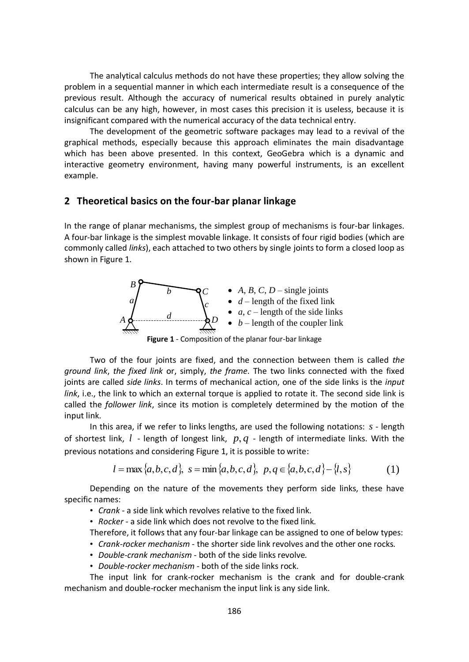The analytical calculus methods do not have these properties; they allow solving the problem in a sequential manner in which each intermediate result is a consequence of the previous result. Although the accuracy of numerical results obtained in purely analytic calculus can be any high, however, in most cases this precision it is useless, because it is insignificant compared with the numerical accuracy of the data technical entry.

The development of the geometric software packages may lead to a revival of the graphical methods, especially because this approach eliminates the main disadvantage which has been above presented. In this context, GeoGebra which is a dynamic and interactive geometry environment, having many powerful instruments, is an excellent example.

### **2 Theoretical basics on the four-bar planar linkage**

In the range of planar mechanisms, the simplest group of mechanisms is four-bar linkages. A four-bar linkage is the simplest movable linkage. It consists of four rigid bodies (which are commonly called *links*), each attached to two others by single joints to form a closed loop as shown in Figure 1.



**Figure 1** - Composition of the planar four-bar linkage

Two of the four joints are fixed, and the connection between them is called *the ground link*, *the fixed link* or, simply, *the frame*. The two links connected with the fixed joints are called *side links*. In terms of mechanical action, one of the side links is the *input link*, i.e., the link to which an external torque is applied to rotate it. The second side link is called the *follower link*, since its motion is completely determined by the motion of the input link.

In this area, if we refer to links lengths, are used the following notations: *s* - length of shortest link, *l* - length of longest link, *p*, *q* - length of intermediate links. With the previous notations and considering Figure 1, it is possible to write:

$$
l = \max\{a, b, c, d\}, \ s = \min\{a, b, c, d\}, \ p, q \in \{a, b, c, d\} - \{l, s\}
$$
 (1)

Depending on the nature of the movements they perform side links, these have specific names:

• *Crank* - a side link which revolves relative to the fixed link.

• *Rocker* - a side link which does not revolve to the fixed link.

Therefore, it follows that any four-bar linkage can be assigned to one of below types:

- *Crank-rocker mechanism* the shorter side link revolves and the other one rocks.
- *Double-crank mechanism* both of the side links revolve*.*
- *Double-rocker mechanism* both of the side links rock.

The input link for crank-rocker mechanism is the crank and for double-crank mechanism and double-rocker mechanism the input link is any side link.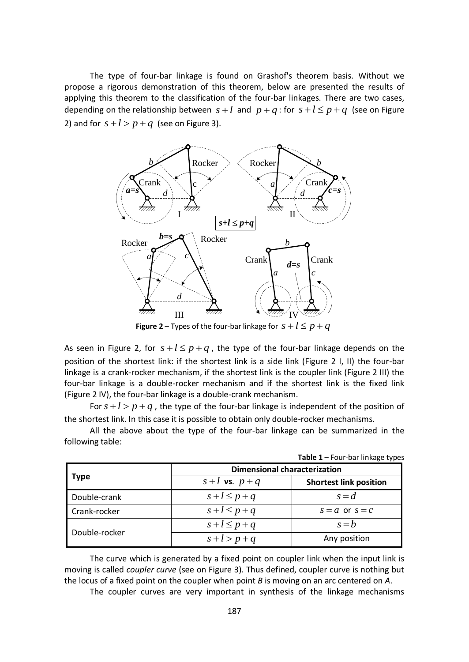The type of four-bar linkage is found on Grashof's theorem basis. Without we propose a rigorous demonstration of this theorem, below are presented the results of applying this theorem to the classification of the four-bar linkages. There are two cases, depending on the relationship between  $s+l$  and  $p+q$ : for  $s+l \leq p+q$  (see on Figure 2) and for  $s + l > p + q$  (see on Figure 3).



**Figure 2** – Types of the four-bar linkage for  $s+l \leq p+q$ 

As seen in Figure 2, for  $s+l \leq p+q$ , the type of the four-bar linkage depends on the position of the shortest link: if the shortest link is a side link (Figure 2 I, II) the four-bar linkage is a crank-rocker mechanism, if the shortest link is the coupler link (Figure 2 III) the four-bar linkage is a double-rocker mechanism and if the shortest link is the fixed link (Figure 2 IV), the four-bar linkage is a double-crank mechanism.

For  $s + l > p + q$ , the type of the four-bar linkage is independent of the position of the shortest link. In this case it is possible to obtain only double-rocker mechanisms.

All the above about the type of the four-bar linkage can be summarized in the following table:

| Type          | <b>Dimensional characterization</b> |                               |
|---------------|-------------------------------------|-------------------------------|
|               | $s+l$ vs. $p+q$                     | <b>Shortest link position</b> |
| Double-crank  | $s+l \leq p+q$                      | $s = d$                       |
| Crank-rocker  | $s+l \leq p+q$                      | $s = a$ or $s = c$            |
| Double-rocker | $s+l \leq p+q$                      | $s = b$                       |
|               | $s+l > p+q$                         | Any position                  |

**Table 1** – Four-bar linkage types

The curve which is generated by a fixed point on coupler link when the input link is moving is called *coupler curve* (see on Figure 3). Thus defined, coupler curve is nothing but the locus of a fixed point on the coupler when point *B* is moving on an arc centered on *A*.

The coupler curves are very important in synthesis of the linkage mechanisms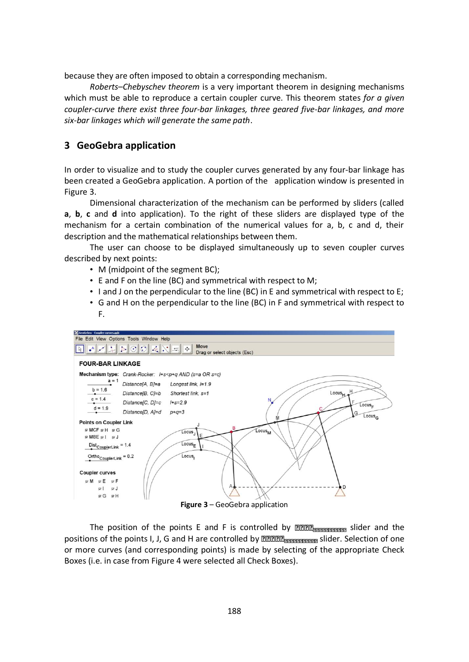because they are often imposed to obtain a corresponding mechanism.

*Roberts–Chebyschev theorem* is a very important theorem in designing mechanisms which must be able to reproduce a certain coupler curve. This theorem states *for a given coupler-curve there exist three four-bar linkages, three geared five-bar linkages, and more six-bar linkages which will generate the same path*.

# **3 GeoGebra application**

In order to visualize and to study the coupler curves generated by any four-bar linkage has been created a GeoGebra application. A portion of the application window is presented in Figure 3.

Dimensional characterization of the mechanism can be performed by sliders (called **a**, **b**, **c** and **d** into application). To the right of these sliders are displayed type of the mechanism for a certain combination of the numerical values for a, b, c and d, their description and the mathematical relationships between them.

The user can choose to be displayed simultaneously up to seven coupler curves described by next points:

- M (midpoint of the segment BC);
- E and F on the line (BC) and symmetrical with respect to M;
- I and J on the perpendicular to the line (BC) in E and symmetrical with respect to E;
- G and H on the perpendicular to the line (BC) in F and symmetrical with respect to F.



The position of the points E and F is controlled by **REER and solutions** slider and the positions of the points I, J, G and H are controlled by **ZZZZ Rnamen and B and Solution** slider. Selection of one or more curves (and corresponding points) is made by selecting of the appropriate Check Boxes (i.e. in case from Figure 4 were selected all Check Boxes).